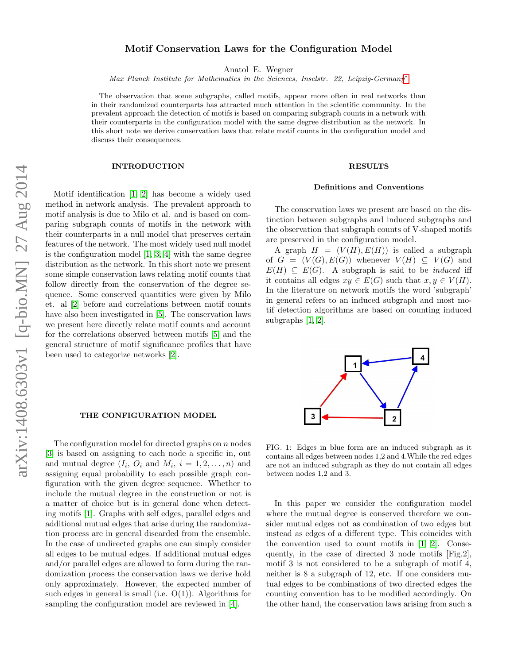# Motif Conservation Laws for the Configuration Model

Anatol E. Wegner

Max Planck Institute for Mathematics in the Sciences, Inselstr. 22, Leipzig-Germany<sup>\*</sup>

The observation that some subgraphs, called motifs, appear more often in real networks than in their randomized counterparts has attracted much attention in the scientific community. In the prevalent approach the detection of motifs is based on comparing subgraph counts in a network with their counterparts in the configuration model with the same degree distribution as the network. In this short note we derive conservation laws that relate motif counts in the configuration model and discuss their consequences.

## INTRODUCTION

Motif identification [\[1,](#page-2-1) [2\]](#page-2-2) has become a widely used method in network analysis. The prevalent approach to motif analysis is due to Milo et al. and is based on comparing subgraph counts of motifs in the network with their counterparts in a null model that preserves certain features of the network. The most widely used null model is the configuration model [\[1,](#page-2-1) [3,](#page-2-3) [4\]](#page-2-4) with the same degree distribution as the network. In this short note we present some simple conservation laws relating motif counts that follow directly from the conservation of the degree sequence. Some conserved quantities were given by Milo et. al [\[2\]](#page-2-2) before and correlations between motif counts have also been investigated in [\[5\]](#page-2-5). The conservation laws we present here directly relate motif counts and account for the correlations observed between motifs [\[5\]](#page-2-5) and the general structure of motif significance profiles that have been used to categorize networks [\[2\]](#page-2-2).

### THE CONFIGURATION MODEL

The configuration model for directed graphs on  $n$  nodes [\[3\]](#page-2-3) is based on assigning to each node a specific in, out and mutual degree  $(I_i, O_i \text{ and } M_i, i = 1, 2, ..., n)$  and assigning equal probability to each possible graph configuration with the given degree sequence. Whether to include the mutual degree in the construction or not is a matter of choice but is in general done when detecting motifs [\[1\]](#page-2-1). Graphs with self edges, parallel edges and additional mutual edges that arise during the randomization process are in general discarded from the ensemble. In the case of undirected graphs one can simply consider all edges to be mutual edges. If additional mutual edges and/or parallel edges are allowed to form during the randomization process the conservation laws we derive hold only approximately. However, the expected number of such edges in general is small (i.e.  $O(1)$ ). Algorithms for sampling the configuration model are reviewed in [\[4\]](#page-2-4).

## RESULTS

#### Definitions and Conventions

The conservation laws we present are based on the distinction between subgraphs and induced subgraphs and the observation that subgraph counts of V-shaped motifs are preserved in the configuration model.

A graph  $H = (V(H), E(H))$  is called a subgraph of  $G = (V(G), E(G))$  whenever  $V(H) \subseteq V(G)$  and  $E(H) \subseteq E(G)$ . A subgraph is said to be *induced* iff it contains all edges  $xy \in E(G)$  such that  $x, y \in V(H)$ . In the literature on network motifs the word 'subgraph' in general refers to an induced subgraph and most motif detection algorithms are based on counting induced subgraphs [\[1,](#page-2-1) [2\]](#page-2-2).



FIG. 1: Edges in blue form are an induced subgraph as it contains all edges between nodes 1,2 and 4.While the red edges are not an induced subgraph as they do not contain all edges between nodes 1,2 and 3.

In this paper we consider the configuration model where the mutual degree is conserved therefore we consider mutual edges not as combination of two edges but instead as edges of a different type. This coincides with the convention used to count motifs in [\[1,](#page-2-1) [2\]](#page-2-2). Consequently, in the case of directed 3 node motifs [Fig.2], motif 3 is not considered to be a subgraph of motif 4, neither is 8 a subgraph of 12, etc. If one considers mutual edges to be combinations of two directed edges the counting convention has to be modified accordingly. On the other hand, the conservation laws arising from such a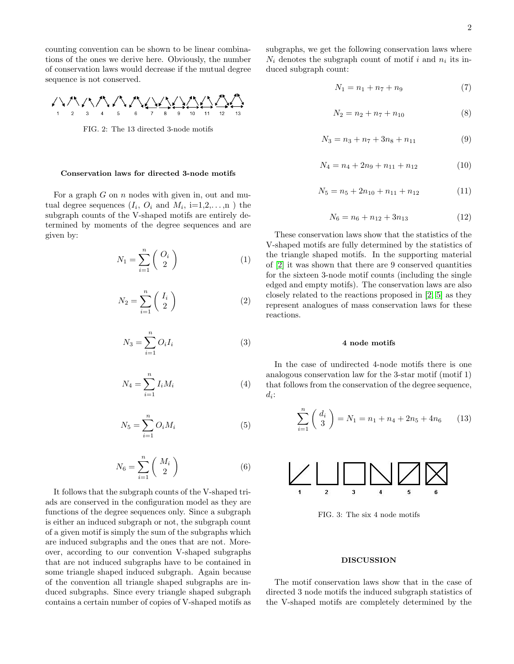counting convention can be shown to be linear combinations of the ones we derive here. Obviously, the number of conservation laws would decrease if the mutual degree sequence is not conserved.



FIG. 2: The 13 directed 3-node motifs

### Conservation laws for directed 3-node motifs

For a graph  $G$  on  $n$  nodes with given in, out and mutual degree sequences  $(I_i, O_i \text{ and } M_i, i=1,2,...,n)$  the subgraph counts of the V-shaped motifs are entirely determined by moments of the degree sequences and are given by:

$$
N_1 = \sum_{i=1}^{n} \left( \begin{array}{c} O_i \\ 2 \end{array} \right) \tag{1}
$$

$$
N_2 = \sum_{i=1}^{n} \left(\begin{array}{c} I_i \\ 2 \end{array}\right) \tag{2}
$$

$$
N_3 = \sum_{i=1}^{n} O_i I_i
$$
 (3)

$$
N_4 = \sum_{i=1}^{n} I_i M_i \tag{4}
$$

$$
N_5 = \sum_{i=1}^{n} O_i M_i
$$
 (5)

$$
N_6 = \sum_{i=1}^n \binom{M_i}{2} \tag{6}
$$

It follows that the subgraph counts of the V-shaped triads are conserved in the configuration model as they are functions of the degree sequences only. Since a subgraph is either an induced subgraph or not, the subgraph count of a given motif is simply the sum of the subgraphs which are induced subgraphs and the ones that are not. Moreover, according to our convention V-shaped subgraphs that are not induced subgraphs have to be contained in some triangle shaped induced subgraph. Again because of the convention all triangle shaped subgraphs are induced subgraphs. Since every triangle shaped subgraph contains a certain number of copies of V-shaped motifs as

subgraphs, we get the following conservation laws where  $N_i$  denotes the subgraph count of motif i and  $n_i$  its induced subgraph count:

$$
N_1 = n_1 + n_7 + n_9 \tag{7}
$$

$$
N_2 = n_2 + n_7 + n_{10} \tag{8}
$$

$$
N_3 = n_3 + n_7 + 3n_8 + n_{11} \tag{9}
$$

$$
N_4 = n_4 + 2n_9 + n_{11} + n_{12} \tag{10}
$$

$$
N_5 = n_5 + 2n_{10} + n_{11} + n_{12} \tag{11}
$$

$$
N_6 = n_6 + n_{12} + 3n_{13} \tag{12}
$$

These conservation laws show that the statistics of the V-shaped motifs are fully determined by the statistics of the triangle shaped motifs. In the supporting material of [\[2\]](#page-2-2) it was shown that there are 9 conserved quantities for the sixteen 3-node motif counts (including the single edged and empty motifs). The conservation laws are also closely related to the reactions proposed in [\[2,](#page-2-2) [5\]](#page-2-5) as they represent analogues of mass conservation laws for these reactions.

### 4 node motifs

In the case of undirected 4-node motifs there is one analogous conservation law for the 3-star motif (motif 1) that follows from the conservation of the degree sequence,  $d_i$ :

$$
\sum_{i=1}^{n} \binom{d_i}{3} = N_1 = n_1 + n_4 + 2n_5 + 4n_6 \tag{13}
$$



FIG. 3: The six 4 node motifs

## DISCUSSION

The motif conservation laws show that in the case of directed 3 node motifs the induced subgraph statistics of the V-shaped motifs are completely determined by the